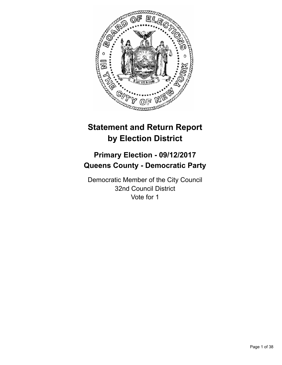

# **Statement and Return Report by Election District**

# **Primary Election - 09/12/2017 Queens County - Democratic Party**

Democratic Member of the City Council 32nd Council District Vote for 1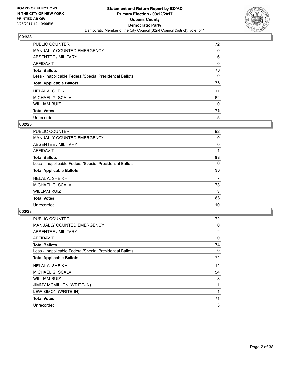

| PUBLIC COUNTER                                           | 72 |
|----------------------------------------------------------|----|
| <b>MANUALLY COUNTED EMERGENCY</b>                        | 0  |
| ABSENTEE / MILITARY                                      | 6  |
| AFFIDAVIT                                                | 0  |
| <b>Total Ballots</b>                                     | 78 |
| Less - Inapplicable Federal/Special Presidential Ballots | 0  |
| <b>Total Applicable Ballots</b>                          | 78 |
| <b>HELAL A. SHEIKH</b>                                   | 11 |
| MICHAEL G. SCALA                                         | 62 |
| <b>WILLIAM RUIZ</b>                                      | 0  |
| <b>Total Votes</b>                                       | 73 |
| Unrecorded                                               | 5  |

#### **002/23**

| <b>PUBLIC COUNTER</b>                                    | 92 |
|----------------------------------------------------------|----|
| MANUALLY COUNTED EMERGENCY                               | 0  |
| ABSENTEE / MILITARY                                      | 0  |
| <b>AFFIDAVIT</b>                                         |    |
| <b>Total Ballots</b>                                     | 93 |
| Less - Inapplicable Federal/Special Presidential Ballots | 0  |
| <b>Total Applicable Ballots</b>                          | 93 |
| <b>HELAL A. SHEIKH</b>                                   | 7  |
| MICHAEL G. SCALA                                         | 73 |
| <b>WILLIAM RUIZ</b>                                      | 3  |
| <b>Total Votes</b>                                       | 83 |
| Unrecorded                                               | 10 |

| <b>PUBLIC COUNTER</b>                                    | 72             |
|----------------------------------------------------------|----------------|
| MANUALLY COUNTED EMERGENCY                               | 0              |
| ABSENTEE / MILITARY                                      | $\overline{2}$ |
| AFFIDAVIT                                                | 0              |
| <b>Total Ballots</b>                                     | 74             |
| Less - Inapplicable Federal/Special Presidential Ballots | 0              |
| <b>Total Applicable Ballots</b>                          | 74             |
| <b>HELAL A. SHEIKH</b>                                   | 12             |
| MICHAEL G. SCALA                                         | 54             |
| <b>WILLIAM RUIZ</b>                                      | 3              |
| JIMMY MCMILLEN (WRITE-IN)                                |                |
| LEW SIMON (WRITE-IN)                                     |                |
| <b>Total Votes</b>                                       | 71             |
| Unrecorded                                               | 3              |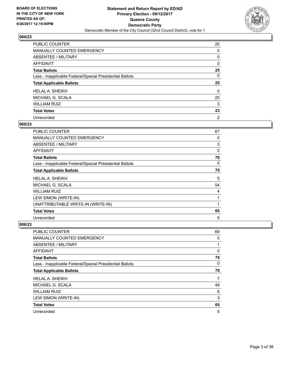

| PUBLIC COUNTER                                           | 25       |
|----------------------------------------------------------|----------|
| MANUALLY COUNTED EMERGENCY                               | 0        |
| ABSENTEE / MILITARY                                      | 0        |
| <b>AFFIDAVIT</b>                                         | 0        |
| <b>Total Ballots</b>                                     | 25       |
| Less - Inapplicable Federal/Special Presidential Ballots | 0        |
| <b>Total Applicable Ballots</b>                          | 25       |
| <b>HELAL A. SHEIKH</b>                                   | $\Omega$ |
| MICHAEL G. SCALA                                         | 20       |
|                                                          |          |
| <b>WILLIAM RUIZ</b>                                      | 3        |
| <b>Total Votes</b>                                       | 23       |

#### **005/23**

| <b>PUBLIC COUNTER</b>                                    | 67 |
|----------------------------------------------------------|----|
| <b>MANUALLY COUNTED EMERGENCY</b>                        | 0  |
| ABSENTEE / MILITARY                                      | 3  |
| <b>AFFIDAVIT</b>                                         | 0  |
| <b>Total Ballots</b>                                     | 70 |
| Less - Inapplicable Federal/Special Presidential Ballots | 0  |
| <b>Total Applicable Ballots</b>                          | 70 |
| HELAL A. SHEIKH                                          | 5  |
| MICHAEL G. SCALA                                         | 54 |
| WILLIAM RUIZ                                             | 4  |
| LEW SIMON (WRITE-IN)                                     |    |
| UNATTRIBUTABLE WRITE-IN (WRITE-IN)                       |    |
| <b>Total Votes</b>                                       | 65 |
| Unrecorded                                               | 5  |

| PUBLIC COUNTER                                           | 69 |
|----------------------------------------------------------|----|
| <b>MANUALLY COUNTED EMERGENCY</b>                        | 0  |
| ABSENTEE / MILITARY                                      | 1  |
| AFFIDAVIT                                                | 0  |
| <b>Total Ballots</b>                                     | 70 |
| Less - Inapplicable Federal/Special Presidential Ballots | 0  |
| <b>Total Applicable Ballots</b>                          | 70 |
| <b>HELAL A. SHEIKH</b>                                   | 7  |
| MICHAEL G. SCALA                                         | 49 |
| <b>WILLIAM RUIZ</b>                                      | 6  |
| LEW SIMON (WRITE-IN)                                     | 3  |
| <b>Total Votes</b>                                       | 65 |
| Unrecorded                                               | 5  |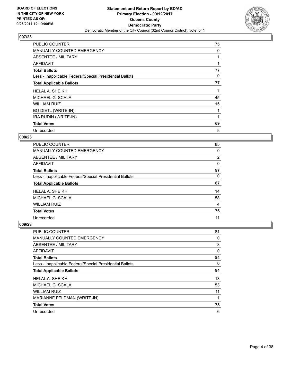

| <b>PUBLIC COUNTER</b>                                    | 75 |
|----------------------------------------------------------|----|
| <b>MANUALLY COUNTED EMERGENCY</b>                        | 0  |
| ABSENTEE / MILITARY                                      |    |
| AFFIDAVIT                                                |    |
| <b>Total Ballots</b>                                     | 77 |
| Less - Inapplicable Federal/Special Presidential Ballots | 0  |
| <b>Total Applicable Ballots</b>                          | 77 |
| <b>HELAL A. SHEIKH</b>                                   | 7  |
|                                                          |    |
| MICHAEL G. SCALA                                         | 45 |
| WILLIAM RUIZ                                             | 15 |
| <b>BO DIETL (WRITE-IN)</b>                               | 1  |
| IRA RUDIN (WRITE-IN)                                     |    |
| <b>Total Votes</b>                                       | 69 |

# **008/23**

| <b>PUBLIC COUNTER</b>                                    | 85             |
|----------------------------------------------------------|----------------|
| <b>MANUALLY COUNTED EMERGENCY</b>                        | 0              |
| ABSENTEE / MILITARY                                      | $\overline{2}$ |
| AFFIDAVIT                                                | 0              |
| <b>Total Ballots</b>                                     | 87             |
| Less - Inapplicable Federal/Special Presidential Ballots | 0              |
| <b>Total Applicable Ballots</b>                          | 87             |
|                                                          |                |
| <b>HELAL A. SHEIKH</b>                                   | 14             |
| MICHAEL G. SCALA                                         | 58             |
| <b>WILLIAM RUIZ</b>                                      | 4              |
| <b>Total Votes</b>                                       | 76             |

| PUBLIC COUNTER                                           | 81       |
|----------------------------------------------------------|----------|
| <b>MANUALLY COUNTED EMERGENCY</b>                        | 0        |
| ABSENTEE / MILITARY                                      | 3        |
| AFFIDAVIT                                                | 0        |
| <b>Total Ballots</b>                                     | 84       |
| Less - Inapplicable Federal/Special Presidential Ballots | $\Omega$ |
| <b>Total Applicable Ballots</b>                          | 84       |
| <b>HELAL A. SHEIKH</b>                                   | 13       |
| MICHAEL G. SCALA                                         | 53       |
| <b>WILLIAM RUIZ</b>                                      | 11       |
| MARIANNE FELDMAN (WRITE-IN)                              | 1        |
| <b>Total Votes</b>                                       | 78       |
| Unrecorded                                               | 6        |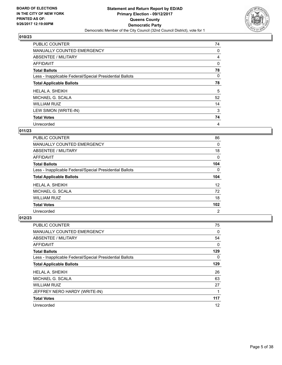

| <b>PUBLIC COUNTER</b>                                    | 74 |
|----------------------------------------------------------|----|
| <b>MANUALLY COUNTED EMERGENCY</b>                        | 0  |
| ABSENTEE / MILITARY                                      | 4  |
| AFFIDAVIT                                                | 0  |
| <b>Total Ballots</b>                                     | 78 |
| Less - Inapplicable Federal/Special Presidential Ballots | 0  |
| <b>Total Applicable Ballots</b>                          | 78 |
| <b>HELAL A. SHEIKH</b>                                   | 5  |
| MICHAEL G. SCALA                                         | 52 |
| <b>WILLIAM RUIZ</b>                                      | 14 |
| LEW SIMON (WRITE-IN)                                     | 3  |
| <b>Total Votes</b>                                       | 74 |
| Unrecorded                                               | 4  |

# **011/23**

| <b>PUBLIC COUNTER</b>                                    | 86        |
|----------------------------------------------------------|-----------|
| <b>MANUALLY COUNTED EMERGENCY</b>                        | 0         |
| ABSENTEE / MILITARY                                      | 18        |
| <b>AFFIDAVIT</b>                                         | 0         |
| <b>Total Ballots</b>                                     | 104       |
| Less - Inapplicable Federal/Special Presidential Ballots | 0         |
|                                                          |           |
| <b>Total Applicable Ballots</b>                          |           |
| HELAL A. SHEIKH                                          | 104<br>12 |
| MICHAEL G. SCALA                                         | 72        |
| <b>WILLIAM RUIZ</b>                                      | 18        |
| <b>Total Votes</b>                                       | 102       |

| <b>PUBLIC COUNTER</b>                                    | 75       |
|----------------------------------------------------------|----------|
| <b>MANUALLY COUNTED EMERGENCY</b>                        | 0        |
| ABSENTEE / MILITARY                                      | 54       |
| AFFIDAVIT                                                | 0        |
| <b>Total Ballots</b>                                     | 129      |
| Less - Inapplicable Federal/Special Presidential Ballots | $\Omega$ |
| <b>Total Applicable Ballots</b>                          | 129      |
| <b>HELAL A. SHEIKH</b>                                   | 26       |
| MICHAEL G. SCALA                                         | 63       |
| <b>WILLIAM RUIZ</b>                                      | 27       |
| JEFFREY NERO HARDY (WRITE-IN)                            |          |
| <b>Total Votes</b>                                       | 117      |
| Unrecorded                                               | 12       |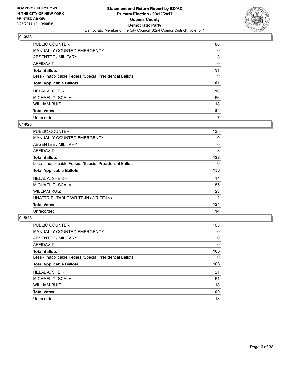

| PUBLIC COUNTER                                           | 88 |
|----------------------------------------------------------|----|
| <b>MANUALLY COUNTED EMERGENCY</b>                        | 0  |
| <b>ABSENTEE / MILITARY</b>                               | 3  |
| <b>AFFIDAVIT</b>                                         | 0  |
| <b>Total Ballots</b>                                     | 91 |
| Less - Inapplicable Federal/Special Presidential Ballots | 0  |
| <b>Total Applicable Ballots</b>                          | 91 |
| <b>HELAL A. SHEIKH</b>                                   | 10 |
| MICHAEL G. SCALA                                         | 56 |
| <b>WILLIAM RUIZ</b>                                      | 18 |
| <b>Total Votes</b>                                       | 84 |
| Unrecorded                                               | 7  |

## **014/23**

| <b>PUBLIC COUNTER</b>                                    | 135 |
|----------------------------------------------------------|-----|
| <b>MANUALLY COUNTED EMERGENCY</b>                        | 0   |
| ABSENTEE / MILITARY                                      | 0   |
| <b>AFFIDAVIT</b>                                         | 3   |
| <b>Total Ballots</b>                                     | 138 |
| Less - Inapplicable Federal/Special Presidential Ballots | 0   |
| <b>Total Applicable Ballots</b>                          | 138 |
| <b>HELAL A. SHEIKH</b>                                   | 14  |
| MICHAEL G. SCALA                                         | 85  |
| <b>WILLIAM RUIZ</b>                                      | 23  |
| UNATTRIBUTABLE WRITE-IN (WRITE-IN)                       | 2   |
| <b>Total Votes</b>                                       | 124 |
| Unrecorded                                               | 14  |

| <b>PUBLIC COUNTER</b>                                    | 103       |
|----------------------------------------------------------|-----------|
| <b>MANUALLY COUNTED EMERGENCY</b>                        | 0         |
| ABSENTEE / MILITARY                                      | 0         |
| AFFIDAVIT                                                | 0         |
| <b>Total Ballots</b>                                     | 103       |
| Less - Inapplicable Federal/Special Presidential Ballots | 0         |
|                                                          |           |
| <b>Total Applicable Ballots</b>                          |           |
| HELAL A. SHEIKH                                          | 103<br>21 |
| MICHAEL G. SCALA                                         | 51        |
| <b>WILLIAM RUIZ</b>                                      | 18        |
| <b>Total Votes</b>                                       | 90        |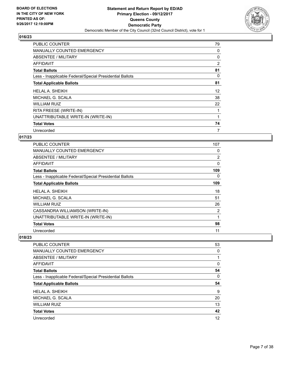

| <b>PUBLIC COUNTER</b>                                    | 79 |
|----------------------------------------------------------|----|
| <b>MANUALLY COUNTED EMERGENCY</b>                        | 0  |
| ABSENTEE / MILITARY                                      | 0  |
| AFFIDAVIT                                                | 2  |
| <b>Total Ballots</b>                                     | 81 |
| Less - Inapplicable Federal/Special Presidential Ballots | 0  |
| <b>Total Applicable Ballots</b>                          | 81 |
| <b>HELAL A. SHEIKH</b>                                   | 12 |
| MICHAEL G. SCALA                                         | 38 |
| <b>WILLIAM RUIZ</b>                                      | 22 |
| RITA FREESE (WRITE-IN)                                   |    |
| UNATTRIBUTABLE WRITE-IN (WRITE-IN)                       |    |
| <b>Total Votes</b>                                       | 74 |
| Unrecorded                                               | 7  |

# **017/23**

| <b>PUBLIC COUNTER</b>                                    | 107 |
|----------------------------------------------------------|-----|
| <b>MANUALLY COUNTED EMERGENCY</b>                        | 0   |
| ABSENTEE / MILITARY                                      | 2   |
| <b>AFFIDAVIT</b>                                         | 0   |
| <b>Total Ballots</b>                                     | 109 |
| Less - Inapplicable Federal/Special Presidential Ballots | 0   |
| <b>Total Applicable Ballots</b>                          | 109 |
| HELAL A. SHEIKH                                          | 18  |
| MICHAEL G. SCALA                                         | 51  |
| <b>WILLIAM RUIZ</b>                                      | 26  |
| CASSANDRA WILLIAMSON (WRITE-IN)                          | 2   |
| UNATTRIBUTABLE WRITE-IN (WRITE-IN)                       | 1   |
| <b>Total Votes</b>                                       | 98  |
| Unrecorded                                               | 11  |

| <b>PUBLIC COUNTER</b>                                    | 53 |
|----------------------------------------------------------|----|
| MANUALLY COUNTED EMERGENCY                               | 0  |
| ABSENTEE / MILITARY                                      |    |
| AFFIDAVIT                                                | 0  |
| <b>Total Ballots</b>                                     | 54 |
| Less - Inapplicable Federal/Special Presidential Ballots | 0  |
| <b>Total Applicable Ballots</b>                          | 54 |
| <b>HELAL A. SHEIKH</b>                                   | 9  |
| MICHAEL G. SCALA                                         | 20 |
| <b>WILLIAM RUIZ</b>                                      | 13 |
| <b>Total Votes</b>                                       | 42 |
|                                                          |    |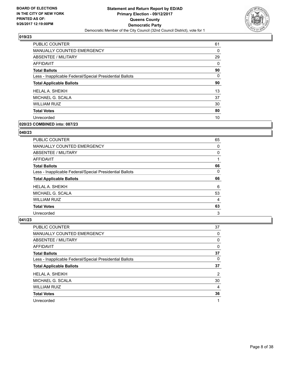

| <b>PUBLIC COUNTER</b>                                    | 61 |
|----------------------------------------------------------|----|
| <b>MANUALLY COUNTED EMERGENCY</b>                        | 0  |
| ABSENTEE / MILITARY                                      | 29 |
| <b>AFFIDAVIT</b>                                         | 0  |
| <b>Total Ballots</b>                                     | 90 |
| Less - Inapplicable Federal/Special Presidential Ballots | 0  |
| <b>Total Applicable Ballots</b>                          | 90 |
| <b>HELAL A. SHEIKH</b>                                   | 13 |
| MICHAEL G. SCALA                                         | 37 |
| <b>WILLIAM RUIZ</b>                                      | 30 |
| <b>Total Votes</b>                                       | 80 |
| Unrecorded                                               | 10 |
|                                                          |    |

# **020/23 COMBINED into: 087/23**

#### **040/23**

| <b>PUBLIC COUNTER</b>                                    | 65 |
|----------------------------------------------------------|----|
| MANUALLY COUNTED EMERGENCY                               | 0  |
| ABSENTEE / MILITARY                                      | 0  |
| <b>AFFIDAVIT</b>                                         |    |
| <b>Total Ballots</b>                                     | 66 |
| Less - Inapplicable Federal/Special Presidential Ballots | 0  |
| <b>Total Applicable Ballots</b>                          | 66 |
| <b>HELAL A. SHEIKH</b>                                   | 6  |
|                                                          |    |
| MICHAEL G. SCALA                                         | 53 |
| <b>WILLIAM RUIZ</b>                                      | 4  |
| <b>Total Votes</b>                                       | 63 |

| <b>PUBLIC COUNTER</b>                                    | 37 |
|----------------------------------------------------------|----|
| <b>MANUALLY COUNTED EMERGENCY</b>                        | 0  |
| ABSENTEE / MILITARY                                      | 0  |
| <b>AFFIDAVIT</b>                                         | 0  |
| <b>Total Ballots</b>                                     | 37 |
| Less - Inapplicable Federal/Special Presidential Ballots | 0  |
| <b>Total Applicable Ballots</b>                          | 37 |
| <b>HELAL A. SHEIKH</b>                                   | 2  |
| MICHAEL G. SCALA                                         | 30 |
| <b>WILLIAM RUIZ</b>                                      | 4  |
| <b>Total Votes</b>                                       | 36 |
| Unrecorded                                               | 1  |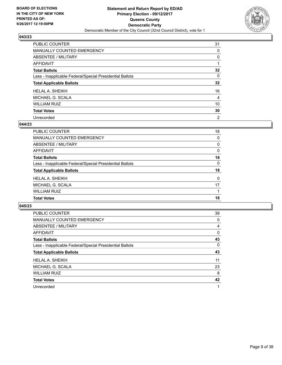

| PUBLIC COUNTER                                           | 31             |
|----------------------------------------------------------|----------------|
| <b>MANUALLY COUNTED EMERGENCY</b>                        | 0              |
| <b>ABSENTEE / MILITARY</b>                               | 0              |
| <b>AFFIDAVIT</b>                                         |                |
| <b>Total Ballots</b>                                     | 32             |
| Less - Inapplicable Federal/Special Presidential Ballots | 0              |
| <b>Total Applicable Ballots</b>                          | 32             |
| <b>HELAL A. SHEIKH</b>                                   | 16             |
| MICHAEL G. SCALA                                         | 4              |
| <b>WILLIAM RUIZ</b>                                      | 10             |
| <b>Total Votes</b>                                       | 30             |
| Unrecorded                                               | $\overline{2}$ |

#### **044/23**

| PUBLIC COUNTER                                           | 18 |
|----------------------------------------------------------|----|
| MANUALLY COUNTED EMERGENCY                               | 0  |
| ABSENTEE / MILITARY                                      | 0  |
| AFFIDAVIT                                                | 0  |
| <b>Total Ballots</b>                                     | 18 |
| Less - Inapplicable Federal/Special Presidential Ballots | 0  |
| <b>Total Applicable Ballots</b>                          | 18 |
| <b>HELAL A. SHEIKH</b>                                   | 0  |
| MICHAEL G. SCALA                                         | 17 |
| <b>WILLIAM RUIZ</b>                                      |    |
| <b>Total Votes</b>                                       | 18 |

| PUBLIC COUNTER                                           | 39       |
|----------------------------------------------------------|----------|
| <b>MANUALLY COUNTED EMERGENCY</b>                        | 0        |
| ABSENTEE / MILITARY                                      | 4        |
| AFFIDAVIT                                                | 0        |
| <b>Total Ballots</b>                                     | 43       |
| Less - Inapplicable Federal/Special Presidential Ballots | $\Omega$ |
| <b>Total Applicable Ballots</b>                          | 43       |
| <b>HELAL A. SHEIKH</b>                                   | 11       |
| MICHAEL G. SCALA                                         | 23       |
| <b>WILLIAM RUIZ</b>                                      | 8        |
| <b>Total Votes</b>                                       | 42       |
| Unrecorded                                               | 1        |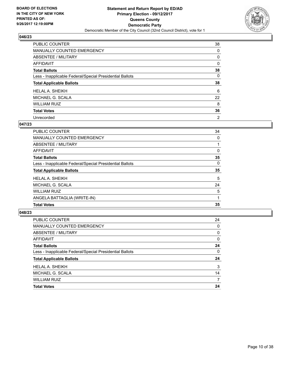

| PUBLIC COUNTER                                           | 38             |
|----------------------------------------------------------|----------------|
| <b>MANUALLY COUNTED EMERGENCY</b>                        | 0              |
| <b>ABSENTEE / MILITARY</b>                               | 0              |
| <b>AFFIDAVIT</b>                                         | 0              |
| <b>Total Ballots</b>                                     | 38             |
| Less - Inapplicable Federal/Special Presidential Ballots | 0              |
| <b>Total Applicable Ballots</b>                          | 38             |
| <b>HELAL A. SHEIKH</b>                                   | 6              |
| MICHAEL G. SCALA                                         | 22             |
| <b>WILLIAM RUIZ</b>                                      | 8              |
| <b>Total Votes</b>                                       | 36             |
| Unrecorded                                               | $\overline{2}$ |

#### **047/23**

| <b>PUBLIC COUNTER</b>                                    | 34 |
|----------------------------------------------------------|----|
| MANUALLY COUNTED EMERGENCY                               | 0  |
| ABSENTEE / MILITARY                                      |    |
| AFFIDAVIT                                                | 0  |
| <b>Total Ballots</b>                                     | 35 |
| Less - Inapplicable Federal/Special Presidential Ballots | 0  |
| <b>Total Applicable Ballots</b>                          | 35 |
| <b>HELAL A. SHEIKH</b>                                   | 5  |
| MICHAEL G. SCALA                                         | 24 |
| <b>WILLIAM RUIZ</b>                                      | 5  |
| ANGELA BATTAGLIA (WRITE-IN)                              |    |
| <b>Total Votes</b>                                       | 35 |

| PUBLIC COUNTER                                           | 24 |
|----------------------------------------------------------|----|
| <b>MANUALLY COUNTED EMERGENCY</b>                        | 0  |
| ABSENTEE / MILITARY                                      | 0  |
| AFFIDAVIT                                                | 0  |
| <b>Total Ballots</b>                                     | 24 |
| Less - Inapplicable Federal/Special Presidential Ballots | 0  |
| <b>Total Applicable Ballots</b>                          | 24 |
| <b>HELAL A. SHEIKH</b>                                   | 3  |
| MICHAEL G. SCALA                                         | 14 |
| <b>WILLIAM RUIZ</b>                                      | 7  |
| <b>Total Votes</b>                                       | 24 |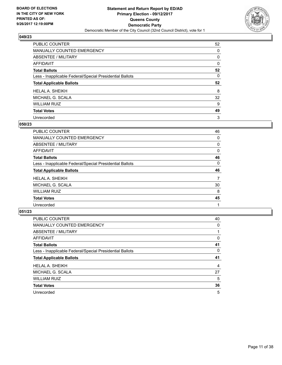

| <b>PUBLIC COUNTER</b>                                    | 52 |
|----------------------------------------------------------|----|
| MANUALLY COUNTED EMERGENCY                               | 0  |
| ABSENTEE / MILITARY                                      | 0  |
| <b>AFFIDAVIT</b>                                         | 0  |
| <b>Total Ballots</b>                                     | 52 |
| Less - Inapplicable Federal/Special Presidential Ballots | 0  |
| <b>Total Applicable Ballots</b>                          | 52 |
| <b>HELAL A. SHEIKH</b>                                   | 8  |
| MICHAEL G. SCALA                                         | 32 |
| <b>WILLIAM RUIZ</b>                                      | 9  |
| <b>Total Votes</b>                                       | 49 |
| Unrecorded                                               | 3  |

#### **050/23**

| <b>PUBLIC COUNTER</b>                                    | 46 |
|----------------------------------------------------------|----|
| <b>MANUALLY COUNTED EMERGENCY</b>                        | 0  |
| ABSENTEE / MILITARY                                      | 0  |
| AFFIDAVIT                                                | 0  |
| <b>Total Ballots</b>                                     | 46 |
| Less - Inapplicable Federal/Special Presidential Ballots | 0  |
| <b>Total Applicable Ballots</b>                          | 46 |
| <b>HELAL A. SHEIKH</b>                                   | 7  |
| MICHAEL G. SCALA                                         | 30 |
| <b>WILLIAM RUIZ</b>                                      | 8  |
| <b>Total Votes</b>                                       | 45 |
| Unrecorded                                               |    |

| <b>PUBLIC COUNTER</b>                                    | 40 |
|----------------------------------------------------------|----|
| <b>MANUALLY COUNTED EMERGENCY</b>                        | 0  |
| ABSENTEE / MILITARY                                      |    |
| AFFIDAVIT                                                | 0  |
| <b>Total Ballots</b>                                     | 41 |
| Less - Inapplicable Federal/Special Presidential Ballots | 0  |
| <b>Total Applicable Ballots</b>                          | 41 |
|                                                          |    |
| <b>HELAL A. SHEIKH</b>                                   | 4  |
| MICHAEL G. SCALA                                         | 27 |
| <b>WILLIAM RUIZ</b>                                      | 5  |
| <b>Total Votes</b>                                       | 36 |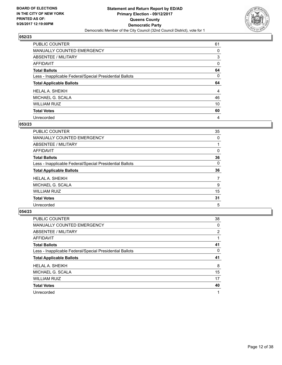

| PUBLIC COUNTER                                           | 61 |
|----------------------------------------------------------|----|
| <b>MANUALLY COUNTED EMERGENCY</b>                        | 0  |
| ABSENTEE / MILITARY                                      | 3  |
| AFFIDAVIT                                                | 0  |
| <b>Total Ballots</b>                                     | 64 |
| Less - Inapplicable Federal/Special Presidential Ballots | 0  |
|                                                          |    |
| <b>Total Applicable Ballots</b>                          | 64 |
| <b>HELAL A. SHEIKH</b>                                   | 4  |
| MICHAEL G. SCALA                                         | 46 |
| <b>WILLIAM RUIZ</b>                                      | 10 |
| <b>Total Votes</b>                                       | 60 |

## **053/23**

| PUBLIC COUNTER                                           | 35 |
|----------------------------------------------------------|----|
| MANUALLY COUNTED EMERGENCY                               | 0  |
| ABSENTEE / MILITARY                                      |    |
| AFFIDAVIT                                                | 0  |
| <b>Total Ballots</b>                                     | 36 |
| Less - Inapplicable Federal/Special Presidential Ballots | 0  |
| <b>Total Applicable Ballots</b>                          | 36 |
| <b>HELAL A. SHEIKH</b>                                   | 7  |
| MICHAEL G. SCALA                                         | 9  |
| <b>WILLIAM RUIZ</b>                                      | 15 |
| <b>Total Votes</b>                                       | 31 |
| Unrecorded                                               | 5  |

| <b>PUBLIC COUNTER</b>                                    | 38 |
|----------------------------------------------------------|----|
| <b>MANUALLY COUNTED EMERGENCY</b>                        | 0  |
| ABSENTEE / MILITARY                                      | 2  |
| AFFIDAVIT                                                |    |
| <b>Total Ballots</b>                                     | 41 |
| Less - Inapplicable Federal/Special Presidential Ballots | 0  |
|                                                          |    |
| <b>Total Applicable Ballots</b>                          | 41 |
| <b>HELAL A. SHEIKH</b>                                   | 8  |
| MICHAEL G. SCALA                                         | 15 |
| <b>WILLIAM RUIZ</b>                                      | 17 |
| <b>Total Votes</b>                                       | 40 |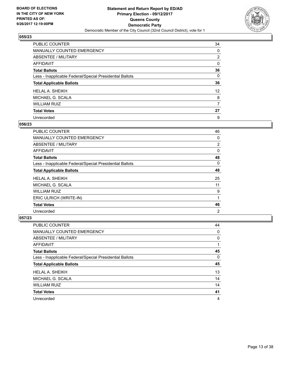

| PUBLIC COUNTER                                           | 34              |
|----------------------------------------------------------|-----------------|
| <b>MANUALLY COUNTED EMERGENCY</b>                        | 0               |
| <b>ABSENTEE / MILITARY</b>                               | $\overline{2}$  |
| <b>AFFIDAVIT</b>                                         | 0               |
| <b>Total Ballots</b>                                     | 36              |
| Less - Inapplicable Federal/Special Presidential Ballots | 0               |
| <b>Total Applicable Ballots</b>                          | 36              |
| <b>HELAL A. SHEIKH</b>                                   | 12 <sup>2</sup> |
| MICHAEL G. SCALA                                         | 8               |
| <b>WILLIAM RUIZ</b>                                      | 7               |
| <b>Total Votes</b>                                       | 27              |
| Unrecorded                                               | 9               |

#### **056/23**

| <b>PUBLIC COUNTER</b>                                    | 46 |
|----------------------------------------------------------|----|
| MANUALLY COUNTED EMERGENCY                               | 0  |
| ABSENTEE / MILITARY                                      | 2  |
| AFFIDAVIT                                                | 0  |
| <b>Total Ballots</b>                                     | 48 |
| Less - Inapplicable Federal/Special Presidential Ballots | 0  |
| <b>Total Applicable Ballots</b>                          | 48 |
| <b>HELAL A. SHEIKH</b>                                   | 25 |
| MICHAEL G. SCALA                                         | 11 |
| <b>WILLIAM RUIZ</b>                                      | 9  |
| ERIC ULRICH (WRITE-IN)                                   |    |
| <b>Total Votes</b>                                       | 46 |
| Unrecorded                                               | 2  |

| <b>PUBLIC COUNTER</b>                                    | 44 |
|----------------------------------------------------------|----|
| MANUALLY COUNTED EMERGENCY                               | 0  |
| ABSENTEE / MILITARY                                      | 0  |
| AFFIDAVIT                                                |    |
| <b>Total Ballots</b>                                     | 45 |
| Less - Inapplicable Federal/Special Presidential Ballots | 0  |
| <b>Total Applicable Ballots</b>                          | 45 |
|                                                          |    |
| <b>HELAL A. SHEIKH</b>                                   | 13 |
| MICHAEL G. SCALA                                         | 14 |
| <b>WILLIAM RUIZ</b>                                      | 14 |
| <b>Total Votes</b>                                       | 41 |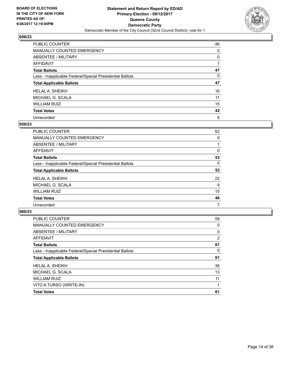

| PUBLIC COUNTER                                           | 46 |
|----------------------------------------------------------|----|
| MANUALLY COUNTED EMERGENCY                               | 0  |
| ABSENTEE / MILITARY                                      | 0  |
| <b>AFFIDAVIT</b>                                         |    |
| <b>Total Ballots</b>                                     | 47 |
| Less - Inapplicable Federal/Special Presidential Ballots | 0  |
| <b>Total Applicable Ballots</b>                          | 47 |
| <b>HELAL A. SHEIKH</b>                                   | 16 |
| MICHAEL G. SCALA                                         | 11 |
| <b>WILLIAM RUIZ</b>                                      | 15 |
| <b>Total Votes</b>                                       | 42 |
| Unrecorded                                               | 5  |

#### **059/23**

| PUBLIC COUNTER                                           | 52 |
|----------------------------------------------------------|----|
| <b>MANUALLY COUNTED EMERGENCY</b>                        | 0  |
| ABSENTEE / MILITARY                                      |    |
| AFFIDAVIT                                                | 0  |
| <b>Total Ballots</b>                                     | 53 |
| Less - Inapplicable Federal/Special Presidential Ballots | 0  |
| <b>Total Applicable Ballots</b>                          | 53 |
| <b>HELAL A. SHEIKH</b>                                   | 22 |
| MICHAEL G. SCALA                                         | 9  |
| <b>WILLIAM RUIZ</b>                                      | 15 |
| <b>Total Votes</b>                                       | 46 |
| Unrecorded                                               | 7  |

| <b>PUBLIC COUNTER</b>                                    | 59             |
|----------------------------------------------------------|----------------|
| <b>MANUALLY COUNTED EMERGENCY</b>                        | 0              |
| ABSENTEE / MILITARY                                      | 0              |
| AFFIDAVIT                                                | $\overline{2}$ |
| <b>Total Ballots</b>                                     | 61             |
| Less - Inapplicable Federal/Special Presidential Ballots | 0              |
| <b>Total Applicable Ballots</b>                          | 61             |
| <b>HELAL A. SHEIKH</b>                                   | 36             |
| MICHAEL G. SCALA                                         | 13             |
| <b>WILLIAM RUIZ</b>                                      | 11             |
| VITO A TURSO (WRITE-IN)                                  |                |
| <b>Total Votes</b>                                       | 61             |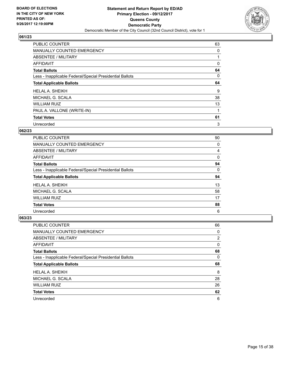

| PUBLIC COUNTER                                           | 63 |
|----------------------------------------------------------|----|
| MANUALLY COUNTED EMERGENCY                               | 0  |
| ABSENTEE / MILITARY                                      |    |
| <b>AFFIDAVIT</b>                                         | 0  |
| <b>Total Ballots</b>                                     | 64 |
| Less - Inapplicable Federal/Special Presidential Ballots | 0  |
| <b>Total Applicable Ballots</b>                          | 64 |
| <b>HELAL A. SHEIKH</b>                                   | 9  |
| MICHAEL G. SCALA                                         | 38 |
| <b>WILLIAM RUIZ</b>                                      | 13 |
| PAUL A. VALLONE (WRITE-IN)                               |    |
| <b>Total Votes</b>                                       | 61 |
| Unrecorded                                               | 3  |

# **062/23**

| <b>PUBLIC COUNTER</b>                                    | 90 |
|----------------------------------------------------------|----|
| MANUALLY COUNTED EMERGENCY                               | 0  |
| ABSENTEE / MILITARY                                      | 4  |
| AFFIDAVIT                                                | 0  |
| <b>Total Ballots</b>                                     | 94 |
| Less - Inapplicable Federal/Special Presidential Ballots | 0  |
| <b>Total Applicable Ballots</b>                          | 94 |
|                                                          |    |
| <b>HELAL A. SHEIKH</b>                                   | 13 |
| MICHAEL G. SCALA                                         | 58 |
| <b>WILLIAM RUIZ</b>                                      | 17 |
| <b>Total Votes</b>                                       | 88 |

| <b>PUBLIC COUNTER</b>                                    | 66 |
|----------------------------------------------------------|----|
| MANUALLY COUNTED EMERGENCY                               | 0  |
| ABSENTEE / MILITARY                                      | 2  |
| AFFIDAVIT                                                | 0  |
| <b>Total Ballots</b>                                     | 68 |
| Less - Inapplicable Federal/Special Presidential Ballots | 0  |
| <b>Total Applicable Ballots</b>                          | 68 |
|                                                          |    |
| <b>HELAL A. SHEIKH</b>                                   | 8  |
| MICHAEL G. SCALA                                         | 28 |
| <b>WILLIAM RUIZ</b>                                      | 26 |
| <b>Total Votes</b>                                       | 62 |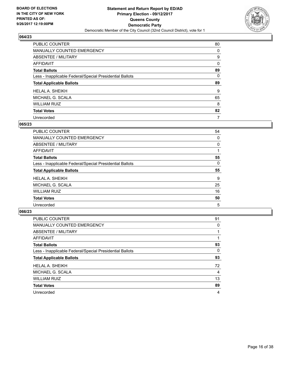

| <b>PUBLIC COUNTER</b>                                    | 80 |
|----------------------------------------------------------|----|
| <b>MANUALLY COUNTED EMERGENCY</b>                        | 0  |
| ABSENTEE / MILITARY                                      | 9  |
| <b>AFFIDAVIT</b>                                         | 0  |
| <b>Total Ballots</b>                                     | 89 |
| Less - Inapplicable Federal/Special Presidential Ballots | 0  |
| <b>Total Applicable Ballots</b>                          | 89 |
|                                                          |    |
| <b>HELAL A. SHEIKH</b>                                   | 9  |
| MICHAEL G. SCALA                                         | 65 |
| <b>WILLIAM RUIZ</b>                                      | 8  |
| <b>Total Votes</b>                                       | 82 |

#### **065/23**

| <b>PUBLIC COUNTER</b>                                    | 54 |
|----------------------------------------------------------|----|
| MANUALLY COUNTED EMERGENCY                               | 0  |
| ABSENTEE / MILITARY                                      | 0  |
| AFFIDAVIT                                                |    |
| <b>Total Ballots</b>                                     | 55 |
| Less - Inapplicable Federal/Special Presidential Ballots | 0  |
| <b>Total Applicable Ballots</b>                          | 55 |
| <b>HELAL A. SHEIKH</b>                                   | 9  |
| MICHAEL G. SCALA                                         | 25 |
| <b>WILLIAM RUIZ</b>                                      | 16 |
| <b>Total Votes</b>                                       | 50 |
|                                                          |    |

| <b>PUBLIC COUNTER</b>                                    | 91 |
|----------------------------------------------------------|----|
| <b>MANUALLY COUNTED EMERGENCY</b>                        | 0  |
| ABSENTEE / MILITARY                                      |    |
| AFFIDAVIT                                                |    |
| <b>Total Ballots</b>                                     | 93 |
| Less - Inapplicable Federal/Special Presidential Ballots | 0  |
| <b>Total Applicable Ballots</b>                          | 93 |
| <b>HELAL A. SHEIKH</b>                                   | 72 |
| MICHAEL G. SCALA                                         | 4  |
| <b>WILLIAM RUIZ</b>                                      | 13 |
| <b>Total Votes</b>                                       | 89 |
| Unrecorded                                               | 4  |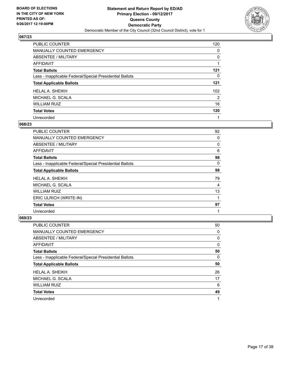

| PUBLIC COUNTER                                           | 120            |
|----------------------------------------------------------|----------------|
| <b>MANUALLY COUNTED EMERGENCY</b>                        | 0              |
| ABSENTEE / MILITARY                                      | 0              |
| <b>AFFIDAVIT</b>                                         |                |
| <b>Total Ballots</b>                                     | 121            |
| Less - Inapplicable Federal/Special Presidential Ballots | 0              |
| <b>Total Applicable Ballots</b>                          | 121            |
| <b>HELAL A. SHEIKH</b>                                   | 102            |
| MICHAEL G. SCALA                                         | $\overline{2}$ |
| <b>WILLIAM RUIZ</b>                                      | 16             |
| <b>Total Votes</b>                                       | 120            |
| Unrecorded                                               |                |

#### **068/23**

| <b>PUBLIC COUNTER</b>                                    | 92 |
|----------------------------------------------------------|----|
| MANUALLY COUNTED EMERGENCY                               | 0  |
| ABSENTEE / MILITARY                                      | 0  |
| AFFIDAVIT                                                | 6  |
| <b>Total Ballots</b>                                     | 98 |
| Less - Inapplicable Federal/Special Presidential Ballots | 0  |
| <b>Total Applicable Ballots</b>                          | 98 |
| <b>HELAL A. SHEIKH</b>                                   | 79 |
| MICHAEL G. SCALA                                         | 4  |
| <b>WILLIAM RUIZ</b>                                      | 13 |
| ERIC ULRICH (WRITE-IN)                                   |    |
| <b>Total Votes</b>                                       | 97 |
| Unrecorded                                               | 1  |

| <b>PUBLIC COUNTER</b>                                    | 50 |
|----------------------------------------------------------|----|
| <b>MANUALLY COUNTED EMERGENCY</b>                        | 0  |
| ABSENTEE / MILITARY                                      | 0  |
| AFFIDAVIT                                                | 0  |
| <b>Total Ballots</b>                                     | 50 |
| Less - Inapplicable Federal/Special Presidential Ballots | 0  |
| <b>Total Applicable Ballots</b>                          | 50 |
| <b>HELAL A. SHEIKH</b>                                   | 26 |
| MICHAEL G. SCALA                                         | 17 |
| <b>WILLIAM RUIZ</b>                                      | 6  |
| <b>Total Votes</b>                                       | 49 |
| Unrecorded                                               | 1  |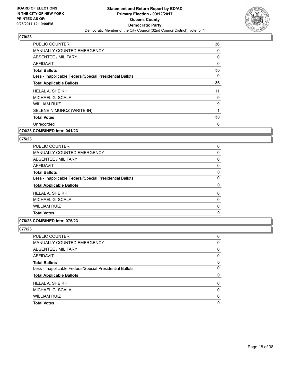

| PUBLIC COUNTER                                           | 36 |
|----------------------------------------------------------|----|
| <b>MANUALLY COUNTED EMERGENCY</b>                        | 0  |
| <b>ABSENTEE / MILITARY</b>                               | 0  |
| <b>AFFIDAVIT</b>                                         | 0  |
| <b>Total Ballots</b>                                     | 36 |
| Less - Inapplicable Federal/Special Presidential Ballots | 0  |
| <b>Total Applicable Ballots</b>                          | 36 |
| <b>HELAL A. SHEIKH</b>                                   | 11 |
| MICHAEL G. SCALA                                         | 9  |
| <b>WILLIAM RUIZ</b>                                      | 9  |
| SELENE N MUNOZ (WRITE-IN)                                | 1  |
| <b>Total Votes</b>                                       | 30 |
| Unrecorded                                               | 6  |
|                                                          |    |

# **074/23 COMBINED into: 041/23**

#### **075/23**

| <b>PUBLIC COUNTER</b>                                    | 0 |
|----------------------------------------------------------|---|
| <b>MANUALLY COUNTED EMERGENCY</b>                        | 0 |
| ABSENTEE / MILITARY                                      | 0 |
| AFFIDAVIT                                                | 0 |
| <b>Total Ballots</b>                                     | 0 |
| Less - Inapplicable Federal/Special Presidential Ballots | 0 |
| <b>Total Applicable Ballots</b>                          | 0 |
| <b>HELAL A. SHEIKH</b>                                   | 0 |
| MICHAEL G. SCALA                                         | 0 |
| <b>WILLIAM RUIZ</b>                                      | 0 |
| <b>Total Votes</b>                                       | 0 |

# **076/23 COMBINED into: 075/23**

| PUBLIC COUNTER                                           | 0            |
|----------------------------------------------------------|--------------|
| MANUALLY COUNTED EMERGENCY                               | 0            |
| ABSENTEE / MILITARY                                      | 0            |
| AFFIDAVIT                                                | 0            |
| Total Ballots                                            | 0            |
| Less - Inapplicable Federal/Special Presidential Ballots | $\mathbf{0}$ |
| <b>Total Applicable Ballots</b>                          | 0            |
| HELAL A. SHEIKH                                          | $\mathbf{0}$ |
| MICHAEL G. SCALA                                         | 0            |
| WILLIAM RUIZ                                             | $\Omega$     |
| <b>Total Votes</b>                                       | $\mathbf 0$  |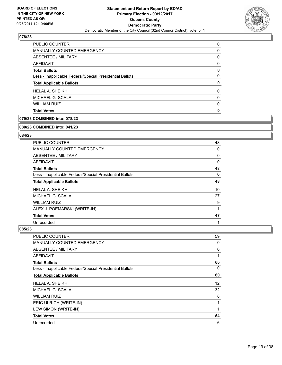

| <b>PUBLIC COUNTER</b>                                    | 0 |
|----------------------------------------------------------|---|
| MANUALLY COUNTED EMERGENCY                               | 0 |
| ABSENTEE / MILITARY                                      | 0 |
| AFFIDAVIT                                                | 0 |
| <b>Total Ballots</b>                                     | 0 |
| Less - Inapplicable Federal/Special Presidential Ballots | 0 |
| <b>Total Applicable Ballots</b>                          | 0 |
| <b>HELAL A. SHEIKH</b>                                   | 0 |
| MICHAEL G. SCALA                                         | 0 |
| <b>WILLIAM RUIZ</b>                                      | 0 |
| <b>Total Votes</b>                                       | 0 |

# **079/23 COMBINED into: 078/23**

#### **080/23 COMBINED into: 041/23**

# **084/23**

| <b>PUBLIC COUNTER</b>                                    | 48 |
|----------------------------------------------------------|----|
| <b>MANUALLY COUNTED EMERGENCY</b>                        | 0  |
| ABSENTEE / MILITARY                                      | 0  |
| <b>AFFIDAVIT</b>                                         | 0  |
| <b>Total Ballots</b>                                     | 48 |
| Less - Inapplicable Federal/Special Presidential Ballots | 0  |
| <b>Total Applicable Ballots</b>                          | 48 |
| <b>HELAL A. SHEIKH</b>                                   | 10 |
| MICHAEL G. SCALA                                         | 27 |
| <b>WILLIAM RUIZ</b>                                      | 9  |
| ALEX J. POEMARSKI (WRITE-IN)                             | 1  |
| <b>Total Votes</b>                                       | 47 |
| Unrecorded                                               | 1  |

| PUBLIC COUNTER                                           | 59 |
|----------------------------------------------------------|----|
| <b>MANUALLY COUNTED EMERGENCY</b>                        | 0  |
| ABSENTEE / MILITARY                                      | 0  |
| AFFIDAVIT                                                | 1  |
| <b>Total Ballots</b>                                     | 60 |
| Less - Inapplicable Federal/Special Presidential Ballots | 0  |
| <b>Total Applicable Ballots</b>                          | 60 |
| <b>HELAL A. SHEIKH</b>                                   | 12 |
| MICHAEL G. SCALA                                         | 32 |
| <b>WILLIAM RUIZ</b>                                      | 8  |
| ERIC ULRICH (WRITE-IN)                                   | 1  |
| LEW SIMON (WRITE-IN)                                     |    |
| <b>Total Votes</b>                                       | 54 |
| Unrecorded                                               | 6  |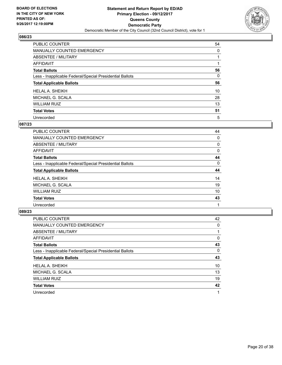

| PUBLIC COUNTER                                           | 54       |
|----------------------------------------------------------|----------|
| <b>MANUALLY COUNTED EMERGENCY</b>                        | $\Omega$ |
| <b>ABSENTEE / MILITARY</b>                               |          |
| <b>AFFIDAVIT</b>                                         |          |
| <b>Total Ballots</b>                                     | 56       |
| Less - Inapplicable Federal/Special Presidential Ballots | 0        |
| <b>Total Applicable Ballots</b>                          | 56       |
| <b>HELAL A. SHEIKH</b>                                   | 10       |
| MICHAEL G. SCALA                                         | 28       |
| <b>WILLIAM RUIZ</b>                                      | 13       |
| <b>Total Votes</b>                                       | 51       |
| Unrecorded                                               | 5        |

## **087/23**

| <b>PUBLIC COUNTER</b>                                    | 44 |
|----------------------------------------------------------|----|
| MANUALLY COUNTED EMERGENCY                               | 0  |
| ABSENTEE / MILITARY                                      | 0  |
| <b>AFFIDAVIT</b>                                         | 0  |
| <b>Total Ballots</b>                                     | 44 |
| Less - Inapplicable Federal/Special Presidential Ballots | 0  |
| <b>Total Applicable Ballots</b>                          | 44 |
| <b>HELAL A. SHEIKH</b>                                   | 14 |
| MICHAEL G. SCALA                                         | 19 |
| <b>WILLIAM RUIZ</b>                                      | 10 |
| <b>Total Votes</b>                                       | 43 |
| Unrecorded                                               |    |

| <b>PUBLIC COUNTER</b>                                    | 42 |
|----------------------------------------------------------|----|
| <b>MANUALLY COUNTED EMERGENCY</b>                        | 0  |
| ABSENTEE / MILITARY                                      |    |
| AFFIDAVIT                                                | 0  |
| <b>Total Ballots</b>                                     | 43 |
| Less - Inapplicable Federal/Special Presidential Ballots | 0  |
| <b>Total Applicable Ballots</b>                          | 43 |
| <b>HELAL A. SHEIKH</b>                                   | 10 |
| MICHAEL G. SCALA                                         | 13 |
| <b>WILLIAM RUIZ</b>                                      | 19 |
| <b>Total Votes</b>                                       | 42 |
| Unrecorded                                               |    |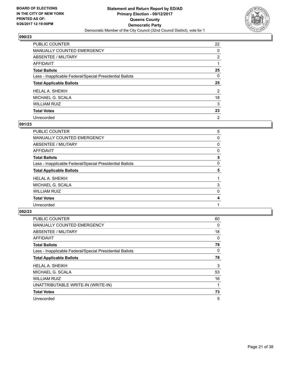

| PUBLIC COUNTER                                           | 22             |
|----------------------------------------------------------|----------------|
| <b>MANUALLY COUNTED EMERGENCY</b>                        | 0              |
| <b>ABSENTEE / MILITARY</b>                               | $\overline{2}$ |
| <b>AFFIDAVIT</b>                                         |                |
| <b>Total Ballots</b>                                     | 25             |
| Less - Inapplicable Federal/Special Presidential Ballots | 0              |
| <b>Total Applicable Ballots</b>                          | 25             |
| <b>HELAL A. SHEIKH</b>                                   | $\overline{2}$ |
| MICHAEL G. SCALA                                         | 18             |
| <b>WILLIAM RUIZ</b>                                      | 3              |
|                                                          |                |
| <b>Total Votes</b>                                       | 23             |

#### **091/23**

| <b>PUBLIC COUNTER</b>                                    | 5 |
|----------------------------------------------------------|---|
| MANUALLY COUNTED EMERGENCY                               | 0 |
| ABSENTEE / MILITARY                                      | 0 |
| AFFIDAVIT                                                | 0 |
| <b>Total Ballots</b>                                     | 5 |
| Less - Inapplicable Federal/Special Presidential Ballots | 0 |
| <b>Total Applicable Ballots</b>                          | 5 |
| <b>HELAL A. SHEIKH</b>                                   |   |
| MICHAEL G. SCALA                                         | 3 |
| <b>WILLIAM RUIZ</b>                                      | 0 |
| <b>Total Votes</b>                                       | 4 |
| Unrecorded                                               |   |
|                                                          |   |

| <b>PUBLIC COUNTER</b>                                    | 60 |
|----------------------------------------------------------|----|
| MANUALLY COUNTED EMERGENCY                               | 0  |
| ABSENTEE / MILITARY                                      | 18 |
| <b>AFFIDAVIT</b>                                         | 0  |
| <b>Total Ballots</b>                                     | 78 |
| Less - Inapplicable Federal/Special Presidential Ballots | 0  |
| <b>Total Applicable Ballots</b>                          | 78 |
| <b>HELAL A. SHEIKH</b>                                   | 3  |
| MICHAEL G. SCALA                                         | 53 |
| <b>WILLIAM RUIZ</b>                                      | 16 |
| UNATTRIBUTABLE WRITE-IN (WRITE-IN)                       |    |
| <b>Total Votes</b>                                       | 73 |
| Unrecorded                                               | 5  |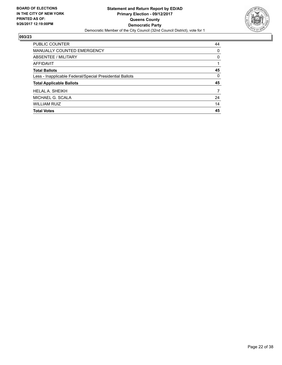

| <b>Total Votes</b>                                       | 45       |
|----------------------------------------------------------|----------|
| <b>WILLIAM RUIZ</b>                                      | 14       |
| MICHAEL G. SCALA                                         | 24       |
| <b>HELAL A. SHEIKH</b>                                   | 7        |
| <b>Total Applicable Ballots</b>                          | 45       |
| Less - Inapplicable Federal/Special Presidential Ballots | $\Omega$ |
| <b>Total Ballots</b>                                     | 45       |
| AFFIDAVIT                                                |          |
| ABSENTEE / MILITARY                                      | 0        |
| MANUALLY COUNTED EMERGENCY                               | 0        |
| <b>PUBLIC COUNTER</b>                                    | 44       |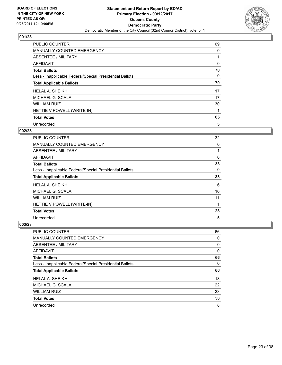

| <b>PUBLIC COUNTER</b>                                    | 69 |
|----------------------------------------------------------|----|
| <b>MANUALLY COUNTED EMERGENCY</b>                        | 0  |
| ABSENTEE / MILITARY                                      |    |
| AFFIDAVIT                                                | 0  |
| <b>Total Ballots</b>                                     | 70 |
| Less - Inapplicable Federal/Special Presidential Ballots | 0  |
| <b>Total Applicable Ballots</b>                          | 70 |
| <b>HELAL A. SHEIKH</b>                                   | 17 |
| MICHAEL G. SCALA                                         | 17 |
| <b>WILLIAM RUIZ</b>                                      | 30 |
| HETTIE V POWELL (WRITE-IN)                               |    |
| <b>Total Votes</b>                                       | 65 |
| Unrecorded                                               | 5  |

## **002/28**

| PUBLIC COUNTER                                           | 32 |
|----------------------------------------------------------|----|
| <b>MANUALLY COUNTED EMERGENCY</b>                        | 0  |
| ABSENTEE / MILITARY                                      |    |
| AFFIDAVIT                                                | 0  |
| <b>Total Ballots</b>                                     | 33 |
| Less - Inapplicable Federal/Special Presidential Ballots | 0  |
| <b>Total Applicable Ballots</b>                          | 33 |
| <b>HELAL A. SHEIKH</b>                                   | 6  |
| MICHAEL G. SCALA                                         | 10 |
| <b>WILLIAM RUIZ</b>                                      | 11 |
| HETTIE V POWELL (WRITE-IN)                               | 1  |
| <b>Total Votes</b>                                       | 28 |
| Unrecorded                                               | 5  |

| <b>PUBLIC COUNTER</b>                                    | 66 |
|----------------------------------------------------------|----|
| <b>MANUALLY COUNTED EMERGENCY</b>                        | 0  |
| ABSENTEE / MILITARY                                      | 0  |
| AFFIDAVIT                                                | 0  |
| <b>Total Ballots</b>                                     | 66 |
| Less - Inapplicable Federal/Special Presidential Ballots | 0  |
| <b>Total Applicable Ballots</b>                          | 66 |
|                                                          |    |
| HELAL A. SHEIKH                                          | 13 |
| MICHAEL G. SCALA                                         | 22 |
| <b>WILLIAM RUIZ</b>                                      | 23 |
| <b>Total Votes</b>                                       | 58 |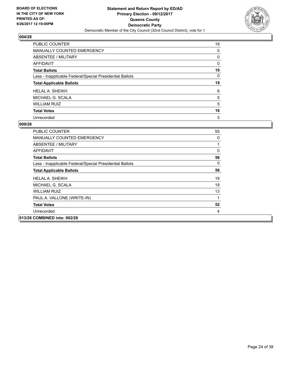

| PUBLIC COUNTER                                           | 19 |
|----------------------------------------------------------|----|
| <b>MANUALLY COUNTED EMERGENCY</b>                        | 0  |
| ABSENTEE / MILITARY                                      | 0  |
| AFFIDAVIT                                                | 0  |
| <b>Total Ballots</b>                                     | 19 |
| Less - Inapplicable Federal/Special Presidential Ballots | 0  |
| <b>Total Applicable Ballots</b>                          | 19 |
| <b>HELAL A. SHEIKH</b>                                   | 6  |
| MICHAEL G. SCALA                                         | 5  |
| <b>WILLIAM RUIZ</b>                                      | 5  |
| <b>Total Votes</b>                                       | 16 |
| Unrecorded                                               | 3  |

| <b>PUBLIC COUNTER</b>                                    | 55       |
|----------------------------------------------------------|----------|
| MANUALLY COUNTED EMERGENCY                               | 0        |
| ABSENTEE / MILITARY                                      | 1        |
| AFFIDAVIT                                                | $\Omega$ |
| <b>Total Ballots</b>                                     | 56       |
| Less - Inapplicable Federal/Special Presidential Ballots | $\Omega$ |
| <b>Total Applicable Ballots</b>                          | 56       |
| <b>HELAL A. SHEIKH</b>                                   | 19       |
| MICHAEL G. SCALA                                         | 19       |
| <b>WILLIAM RUIZ</b>                                      | 13       |
| PAUL A. VALLONE (WRITE-IN)                               | 1        |
| <b>Total Votes</b>                                       | 52       |
| Unrecorded                                               | 4        |
| 013/28 COMBINED into: 002/28                             |          |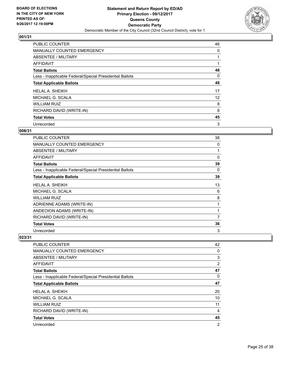

| PUBLIC COUNTER                                           | 46 |
|----------------------------------------------------------|----|
| MANUALLY COUNTED EMERGENCY                               | 0  |
| ABSENTEE / MILITARY                                      |    |
| AFFIDAVIT                                                |    |
| <b>Total Ballots</b>                                     | 48 |
| Less - Inapplicable Federal/Special Presidential Ballots | 0  |
| <b>Total Applicable Ballots</b>                          | 48 |
| <b>HELAL A. SHEIKH</b>                                   | 17 |
| MICHAEL G. SCALA                                         | 12 |
| <b>WILLIAM RUIZ</b>                                      | 8  |
| RICHARD DAVID (WRITE-IN)                                 | 8  |
| <b>Total Votes</b>                                       | 45 |
| Unrecorded                                               | 3  |

# **008/31**

| <b>PUBLIC COUNTER</b>                                    | 38 |
|----------------------------------------------------------|----|
| MANUALLY COUNTED EMERGENCY                               | 0  |
| ABSENTEE / MILITARY                                      | 1  |
| AFFIDAVIT                                                | 0  |
| <b>Total Ballots</b>                                     | 39 |
| Less - Inapplicable Federal/Special Presidential Ballots | 0  |
| <b>Total Applicable Ballots</b>                          | 39 |
| <b>HELAL A. SHEIKH</b>                                   | 13 |
| MICHAEL G. SCALA                                         | 6  |
| <b>WILLIAM RUIZ</b>                                      | 8  |
| ADRIENNE ADAMS (WRITE-IN)                                | 1  |
| ANDEOION ADAMS (WRITE-IN)                                | 1  |
| RICHARD DAVID (WRITE-IN)                                 | 7  |
| <b>Total Votes</b>                                       | 36 |
| Unrecorded                                               | 3  |

| <b>PUBLIC COUNTER</b>                                    | 42             |
|----------------------------------------------------------|----------------|
| <b>MANUALLY COUNTED EMERGENCY</b>                        | 0              |
| ABSENTEE / MILITARY                                      | 3              |
| AFFIDAVIT                                                | $\overline{2}$ |
| <b>Total Ballots</b>                                     | 47             |
| Less - Inapplicable Federal/Special Presidential Ballots | 0              |
| <b>Total Applicable Ballots</b>                          | 47             |
| <b>HELAL A. SHEIKH</b>                                   | 20             |
| MICHAEL G. SCALA                                         | 10             |
| <b>WILLIAM RUIZ</b>                                      | 11             |
| RICHARD DAVID (WRITE-IN)                                 | 4              |
| <b>Total Votes</b>                                       | 45             |
| Unrecorded                                               | $\overline{2}$ |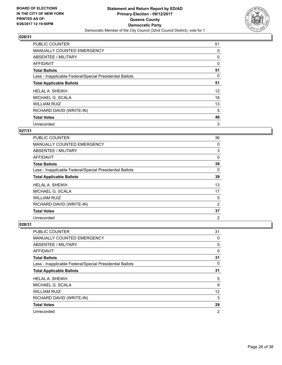

| <b>PUBLIC COUNTER</b>                                    | 51 |
|----------------------------------------------------------|----|
| <b>MANUALLY COUNTED EMERGENCY</b>                        | 0  |
| ABSENTEE / MILITARY                                      | 0  |
| <b>AFFIDAVIT</b>                                         | 0  |
| <b>Total Ballots</b>                                     | 51 |
| Less - Inapplicable Federal/Special Presidential Ballots | 0  |
| <b>Total Applicable Ballots</b>                          | 51 |
| <b>HELAL A. SHEIKH</b>                                   | 12 |
| MICHAEL G. SCALA                                         | 18 |
| <b>WILLIAM RUIZ</b>                                      | 13 |
| RICHARD DAVID (WRITE-IN)                                 | 5  |
| <b>Total Votes</b>                                       | 48 |
| Unrecorded                                               | 3  |

## **027/31**

| PUBLIC COUNTER                                           | 36             |
|----------------------------------------------------------|----------------|
| <b>MANUALLY COUNTED EMERGENCY</b>                        | 0              |
| ABSENTEE / MILITARY                                      | 3              |
| AFFIDAVIT                                                | 0              |
| <b>Total Ballots</b>                                     | 39             |
| Less - Inapplicable Federal/Special Presidential Ballots | $\Omega$       |
| <b>Total Applicable Ballots</b>                          | 39             |
| <b>HELAL A. SHEIKH</b>                                   | 13             |
| MICHAEL G. SCALA                                         | 17             |
| <b>WILLIAM RUIZ</b>                                      | 5              |
| RICHARD DAVID (WRITE-IN)                                 | 2              |
| <b>Total Votes</b>                                       | 37             |
| Unrecorded                                               | $\overline{2}$ |

| PUBLIC COUNTER                                           | 31             |
|----------------------------------------------------------|----------------|
| <b>MANUALLY COUNTED EMERGENCY</b>                        | 0              |
| ABSENTEE / MILITARY                                      | 0              |
| AFFIDAVIT                                                | 0              |
| <b>Total Ballots</b>                                     | 31             |
| Less - Inapplicable Federal/Special Presidential Ballots | 0              |
| <b>Total Applicable Ballots</b>                          | 31             |
| <b>HELAL A. SHEIKH</b>                                   | 5              |
| MICHAEL G. SCALA                                         | 9              |
| <b>WILLIAM RUIZ</b>                                      | 12             |
| RICHARD DAVID (WRITE-IN)                                 | 3              |
| <b>Total Votes</b>                                       | 29             |
| Unrecorded                                               | $\overline{2}$ |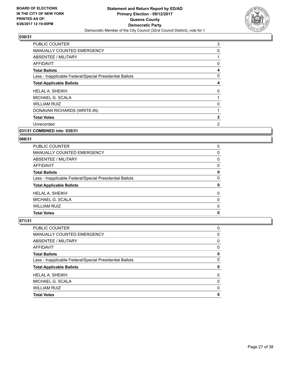

| <b>PUBLIC COUNTER</b>                                    | 3            |
|----------------------------------------------------------|--------------|
| <b>MANUALLY COUNTED EMERGENCY</b>                        | 0            |
| ABSENTEE / MILITARY                                      |              |
| AFFIDAVIT                                                | 0            |
| <b>Total Ballots</b>                                     | 4            |
| Less - Inapplicable Federal/Special Presidential Ballots | 0            |
| <b>Total Applicable Ballots</b>                          | 4            |
| HELAL A. SHEIKH                                          | 0            |
| MICHAEL G. SCALA                                         |              |
| <b>WILLIAM RUIZ</b>                                      | 0            |
| DONAVAN RICHARDS (WRITE-IN)                              |              |
| <b>Total Votes</b>                                       | $\mathbf{2}$ |
| Unrecorded                                               | 2            |
|                                                          |              |

## **031/31 COMBINED into: 030/31**

#### **066/31**

| <b>Total Votes</b>                                       | 0 |
|----------------------------------------------------------|---|
| <b>WILLIAM RUIZ</b>                                      | 0 |
| MICHAEL G. SCALA                                         | 0 |
| <b>HELAL A. SHEIKH</b>                                   | 0 |
| <b>Total Applicable Ballots</b>                          | 0 |
| Less - Inapplicable Federal/Special Presidential Ballots | 0 |
| <b>Total Ballots</b>                                     | 0 |
| AFFIDAVIT                                                | 0 |
| ABSENTEE / MILITARY                                      | 0 |
| MANUALLY COUNTED EMERGENCY                               | 0 |
| <b>PUBLIC COUNTER</b>                                    | 0 |

| <b>Total Votes</b>                                       | 0 |
|----------------------------------------------------------|---|
| <b>WILLIAM RUIZ</b>                                      | 0 |
| MICHAEL G. SCALA                                         | 0 |
| <b>HELAL A. SHEIKH</b>                                   | 0 |
| <b>Total Applicable Ballots</b>                          | 0 |
| Less - Inapplicable Federal/Special Presidential Ballots | 0 |
| <b>Total Ballots</b>                                     | 0 |
| AFFIDAVIT                                                | 0 |
| ABSENTEE / MILITARY                                      | 0 |
| <b>MANUALLY COUNTED EMERGENCY</b>                        | 0 |
| <b>PUBLIC COUNTER</b>                                    | 0 |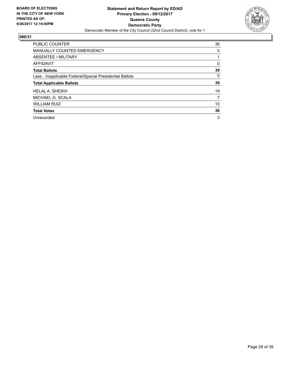

| <b>PUBLIC COUNTER</b>                                    | 38 |
|----------------------------------------------------------|----|
| <b>MANUALLY COUNTED EMERGENCY</b>                        | 0  |
| ABSENTEE / MILITARY                                      |    |
| <b>AFFIDAVIT</b>                                         | 0  |
| <b>Total Ballots</b>                                     | 39 |
| Less - Inapplicable Federal/Special Presidential Ballots | 0  |
| <b>Total Applicable Ballots</b>                          | 39 |
| <b>HELAL A. SHEIKH</b>                                   | 19 |
| MICHAEL G. SCALA                                         | 7  |
| <b>WILLIAM RUIZ</b>                                      | 10 |
| <b>Total Votes</b>                                       | 36 |
| Unrecorded                                               | 3  |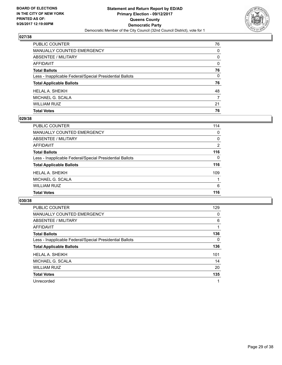

| <b>Total Votes</b>                                       | 76           |
|----------------------------------------------------------|--------------|
| WILLIAM RUIZ                                             | 21           |
| MICHAEL G. SCALA                                         | 7            |
| HELAL A. SHEIKH                                          | 48           |
| <b>Total Applicable Ballots</b>                          | 76           |
| Less - Inapplicable Federal/Special Presidential Ballots | $\mathbf{0}$ |
| <b>Total Ballots</b>                                     | 76           |
| <b>AFFIDAVIT</b>                                         | $\mathbf{0}$ |
| <b>ABSENTEE / MILITARY</b>                               | 0            |
| <b>MANUALLY COUNTED EMERGENCY</b>                        | $\mathbf{0}$ |
| PUBLIC COUNTER                                           | 76           |

# **029/38**

| PUBLIC COUNTER                                           | 114            |
|----------------------------------------------------------|----------------|
| <b>MANUALLY COUNTED EMERGENCY</b>                        | 0              |
| ABSENTEE / MILITARY                                      | 0              |
| AFFIDAVIT                                                | $\overline{2}$ |
| <b>Total Ballots</b>                                     | 116            |
| Less - Inapplicable Federal/Special Presidential Ballots | $\Omega$       |
| <b>Total Applicable Ballots</b>                          | 116            |
| <b>HELAL A. SHEIKH</b>                                   | 109            |
| MICHAEL G. SCALA                                         |                |
| <b>WILLIAM RUIZ</b>                                      | 6              |
| <b>Total Votes</b>                                       | 116            |
|                                                          |                |

| <b>PUBLIC COUNTER</b>                                    | 129 |
|----------------------------------------------------------|-----|
| MANUALLY COUNTED EMERGENCY                               | 0   |
| ABSENTEE / MILITARY                                      | 6   |
| AFFIDAVIT                                                |     |
| <b>Total Ballots</b>                                     | 136 |
| Less - Inapplicable Federal/Special Presidential Ballots | 0   |
| <b>Total Applicable Ballots</b>                          | 136 |
| <b>HELAL A. SHEIKH</b>                                   | 101 |
| MICHAEL G. SCALA                                         | 14  |
| <b>WILLIAM RUIZ</b>                                      | 20  |
| <b>Total Votes</b>                                       | 135 |
| Unrecorded                                               | 1   |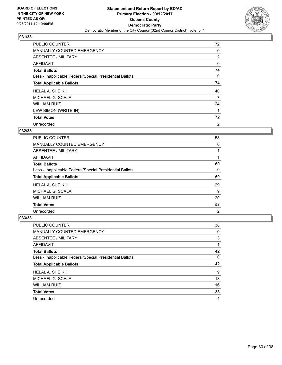

| <b>PUBLIC COUNTER</b>                                    | 72             |
|----------------------------------------------------------|----------------|
| MANUALLY COUNTED EMERGENCY                               | 0              |
| ABSENTEE / MILITARY                                      | 2              |
| AFFIDAVIT                                                | 0              |
| <b>Total Ballots</b>                                     | 74             |
| Less - Inapplicable Federal/Special Presidential Ballots | 0              |
| <b>Total Applicable Ballots</b>                          | 74             |
| <b>HELAL A. SHEIKH</b>                                   | 40             |
| MICHAEL G. SCALA                                         | 7              |
| <b>WILLIAM RUIZ</b>                                      | 24             |
| LEW SIMON (WRITE-IN)                                     |                |
| <b>Total Votes</b>                                       | 72             |
| Unrecorded                                               | $\overline{2}$ |

# **032/38**

| <b>PUBLIC COUNTER</b>                                    | 58 |
|----------------------------------------------------------|----|
| MANUALLY COUNTED EMERGENCY                               | 0  |
| ABSENTEE / MILITARY                                      |    |
| AFFIDAVIT                                                |    |
| <b>Total Ballots</b>                                     | 60 |
| Less - Inapplicable Federal/Special Presidential Ballots | 0  |
| <b>Total Applicable Ballots</b>                          | 60 |
| HELAL A. SHEIKH                                          | 29 |
| MICHAEL G. SCALA                                         | 9  |
| <b>WILLIAM RUIZ</b>                                      | 20 |
| <b>Total Votes</b>                                       | 58 |
|                                                          |    |

| <b>PUBLIC COUNTER</b>                                    | 38 |
|----------------------------------------------------------|----|
| <b>MANUALLY COUNTED EMERGENCY</b>                        | 0  |
| ABSENTEE / MILITARY                                      | 3  |
| AFFIDAVIT                                                |    |
| <b>Total Ballots</b>                                     | 42 |
| Less - Inapplicable Federal/Special Presidential Ballots | 0  |
|                                                          |    |
| <b>Total Applicable Ballots</b>                          | 42 |
| <b>HELAL A. SHEIKH</b>                                   | 9  |
| MICHAEL G. SCALA                                         | 13 |
| <b>WILLIAM RUIZ</b>                                      | 16 |
| <b>Total Votes</b>                                       | 38 |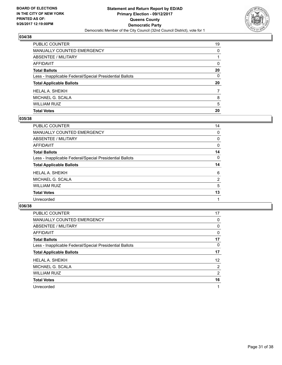

| <b>Total Votes</b>                                       | 20       |
|----------------------------------------------------------|----------|
| WILLIAM RUIZ                                             | 5        |
| MICHAEL G. SCALA                                         | 8        |
| HELAL A. SHEIKH                                          | 7        |
| <b>Total Applicable Ballots</b>                          | 20       |
| Less - Inapplicable Federal/Special Presidential Ballots | $\Omega$ |
| <b>Total Ballots</b>                                     | 20       |
| <b>AFFIDAVIT</b>                                         | $\Omega$ |
| <b>ABSENTEE / MILITARY</b>                               |          |
| <b>MANUALLY COUNTED EMERGENCY</b>                        | 0        |
| PUBLIC COUNTER                                           | 19       |

# **035/38**

| PUBLIC COUNTER                                           | 14             |
|----------------------------------------------------------|----------------|
| <b>MANUALLY COUNTED EMERGENCY</b>                        | 0              |
| ABSENTEE / MILITARY                                      | 0              |
| AFFIDAVIT                                                | 0              |
| <b>Total Ballots</b>                                     | 14             |
| Less - Inapplicable Federal/Special Presidential Ballots | 0              |
| <b>Total Applicable Ballots</b>                          | 14             |
| HELAL A. SHEIKH                                          | 6              |
| MICHAEL G. SCALA                                         | $\overline{2}$ |
| WILLIAM RUIZ                                             | 5              |
| <b>Total Votes</b>                                       | 13             |
| Unrecorded                                               |                |
|                                                          |                |

| <b>PUBLIC COUNTER</b>                                    | 17           |
|----------------------------------------------------------|--------------|
| <b>MANUALLY COUNTED EMERGENCY</b>                        | 0            |
| ABSENTEE / MILITARY                                      | 0            |
| AFFIDAVIT                                                | $\mathbf{0}$ |
| <b>Total Ballots</b>                                     | 17           |
| Less - Inapplicable Federal/Special Presidential Ballots | 0            |
| <b>Total Applicable Ballots</b>                          | 17           |
| <b>HELAL A. SHEIKH</b>                                   | 12           |
| MICHAEL G. SCALA                                         | 2            |
| <b>WILLIAM RUIZ</b>                                      | 2            |
| <b>Total Votes</b>                                       | 16           |
| Unrecorded                                               | 1            |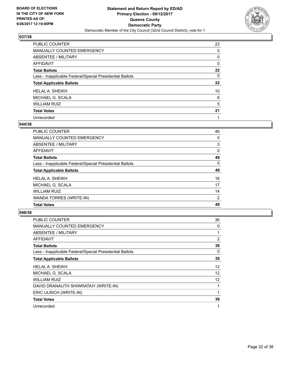

| PUBLIC COUNTER                                           | 22 |
|----------------------------------------------------------|----|
| <b>MANUALLY COUNTED EMERGENCY</b>                        | 0  |
| ABSENTEE / MILITARY                                      | 0  |
| <b>AFFIDAVIT</b>                                         | 0  |
| <b>Total Ballots</b>                                     | 22 |
| Less - Inapplicable Federal/Special Presidential Ballots | 0  |
| <b>Total Applicable Ballots</b>                          | 22 |
| <b>HELAL A. SHEIKH</b>                                   | 10 |
| MICHAEL G. SCALA                                         | 6  |
| <b>WILLIAM RUIZ</b>                                      | 5  |
| <b>Total Votes</b>                                       | 21 |
| Unrecorded                                               |    |

#### **044/38**

| <b>PUBLIC COUNTER</b>                                    | 46             |
|----------------------------------------------------------|----------------|
| MANUALLY COUNTED EMERGENCY                               | 0              |
| ABSENTEE / MILITARY                                      | 3              |
| <b>AFFIDAVIT</b>                                         | 0              |
| <b>Total Ballots</b>                                     | 49             |
| Less - Inapplicable Federal/Special Presidential Ballots | 0              |
| <b>Total Applicable Ballots</b>                          | 49             |
| <b>HELAL A. SHEIKH</b>                                   | 16             |
| MICHAEL G. SCALA                                         | 17             |
| <b>WILLIAM RUIZ</b>                                      | 14             |
| WANDA TORRES (WRITE-IN)                                  | $\overline{2}$ |
| <b>Total Votes</b>                                       | 49             |

| <b>PUBLIC COUNTER</b>                                    | 36                |
|----------------------------------------------------------|-------------------|
| <b>MANUALLY COUNTED EMERGENCY</b>                        | 0                 |
| ABSENTEE / MILITARY                                      | 1                 |
| AFFIDAVIT                                                | 2                 |
| <b>Total Ballots</b>                                     | 39                |
| Less - Inapplicable Federal/Special Presidential Ballots | 0                 |
| <b>Total Applicable Ballots</b>                          | 39                |
| <b>HELAL A. SHEIKH</b>                                   | $12 \overline{ }$ |
| MICHAEL G. SCALA                                         | 12                |
| <b>WILLIAM RUIZ</b>                                      | 12                |
| DAVID DRANAUTH SHIWRATAIY (WRITE-IN)                     | 1                 |
| ERIC ULRICH (WRITE-IN)                                   | 1                 |
| <b>Total Votes</b>                                       | 38                |
| Unrecorded                                               | 1                 |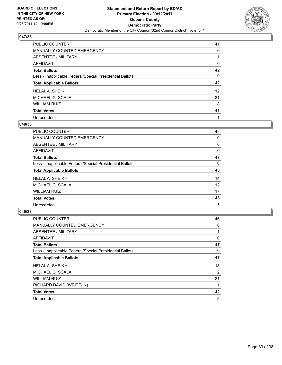

| PUBLIC COUNTER                                           | 41              |
|----------------------------------------------------------|-----------------|
| <b>MANUALLY COUNTED EMERGENCY</b>                        | 0               |
| <b>ABSENTEE / MILITARY</b>                               |                 |
| <b>AFFIDAVIT</b>                                         | 0               |
| <b>Total Ballots</b>                                     | 42              |
| Less - Inapplicable Federal/Special Presidential Ballots | 0               |
| <b>Total Applicable Ballots</b>                          | 42              |
| <b>HELAL A. SHEIKH</b>                                   | 12 <sup>°</sup> |
| MICHAEL G. SCALA                                         | 21              |
| <b>WILLIAM RUIZ</b>                                      | 8               |
| <b>Total Votes</b>                                       | 41              |
| Unrecorded                                               |                 |

#### **048/38**

| <b>PUBLIC COUNTER</b>                                    | 48 |
|----------------------------------------------------------|----|
| MANUALLY COUNTED EMERGENCY                               | 0  |
| ABSENTEE / MILITARY                                      | 0  |
| AFFIDAVIT                                                | 0  |
| <b>Total Ballots</b>                                     | 48 |
| Less - Inapplicable Federal/Special Presidential Ballots | 0  |
| <b>Total Applicable Ballots</b>                          | 48 |
| <b>HELAL A. SHEIKH</b>                                   | 14 |
| MICHAEL G. SCALA                                         | 12 |
| <b>WILLIAM RUIZ</b>                                      | 17 |
| <b>Total Votes</b>                                       | 43 |
| Unrecorded                                               | 5  |

| <b>PUBLIC COUNTER</b>                                    | 46 |
|----------------------------------------------------------|----|
| MANUALLY COUNTED EMERGENCY                               | 0  |
| ABSENTEE / MILITARY                                      |    |
| AFFIDAVIT                                                | 0  |
| <b>Total Ballots</b>                                     | 47 |
| Less - Inapplicable Federal/Special Presidential Ballots | 0  |
| <b>Total Applicable Ballots</b>                          | 47 |
| <b>HELAL A. SHEIKH</b>                                   | 18 |
| MICHAEL G. SCALA                                         | 2  |
| <b>WILLIAM RUIZ</b>                                      | 21 |
| RICHARD DAVID (WRITE-IN)                                 |    |
| <b>Total Votes</b>                                       | 42 |
| Unrecorded                                               | 5  |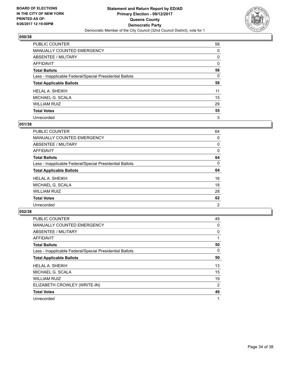

| PUBLIC COUNTER                                           | 58 |
|----------------------------------------------------------|----|
| MANUALLY COUNTED EMERGENCY                               | 0  |
| <b>ABSENTEE / MILITARY</b>                               | 0  |
| <b>AFFIDAVIT</b>                                         | 0  |
| <b>Total Ballots</b>                                     | 58 |
| Less - Inapplicable Federal/Special Presidential Ballots | 0  |
| <b>Total Applicable Ballots</b>                          | 58 |
| <b>HELAL A. SHEIKH</b>                                   | 11 |
| MICHAEL G. SCALA                                         | 15 |
| <b>WILLIAM RUIZ</b>                                      | 29 |
| <b>Total Votes</b>                                       | 55 |
| Unrecorded                                               | 3  |

#### **051/38**

| <b>PUBLIC COUNTER</b>                                    | 64             |
|----------------------------------------------------------|----------------|
| <b>MANUALLY COUNTED EMERGENCY</b>                        | 0              |
| ABSENTEE / MILITARY                                      | 0              |
| <b>AFFIDAVIT</b>                                         | 0              |
| <b>Total Ballots</b>                                     | 64             |
| Less - Inapplicable Federal/Special Presidential Ballots | 0              |
| <b>Total Applicable Ballots</b>                          | 64             |
| <b>HELAL A. SHEIKH</b>                                   | 16             |
| MICHAEL G. SCALA                                         | 18             |
| <b>WILLIAM RUIZ</b>                                      | 28             |
| <b>Total Votes</b>                                       | 62             |
| Unrecorded                                               | $\overline{2}$ |

| <b>PUBLIC COUNTER</b>                                    | 49 |
|----------------------------------------------------------|----|
| MANUALLY COUNTED EMERGENCY                               | 0  |
| ABSENTEE / MILITARY                                      | 0  |
| AFFIDAVIT                                                |    |
| <b>Total Ballots</b>                                     | 50 |
| Less - Inapplicable Federal/Special Presidential Ballots | 0  |
| <b>Total Applicable Ballots</b>                          | 50 |
| <b>HELAL A. SHEIKH</b>                                   | 13 |
| MICHAEL G. SCALA                                         | 15 |
| <b>WILLIAM RUIZ</b>                                      | 19 |
| ELIZABETH CROWLEY (WRITE-IN)                             | 2  |
| <b>Total Votes</b>                                       | 49 |
| Unrecorded                                               |    |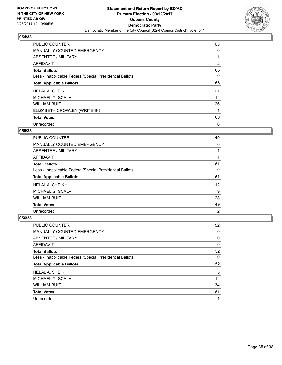

| <b>PUBLIC COUNTER</b>                                    | 63             |
|----------------------------------------------------------|----------------|
| MANUALLY COUNTED EMERGENCY                               | 0              |
| ABSENTEE / MILITARY                                      |                |
| AFFIDAVIT                                                | $\overline{2}$ |
| <b>Total Ballots</b>                                     | 66             |
| Less - Inapplicable Federal/Special Presidential Ballots | 0              |
| <b>Total Applicable Ballots</b>                          | 66             |
| <b>HELAL A. SHEIKH</b>                                   | 21             |
| MICHAEL G. SCALA                                         | 12             |
| <b>WILLIAM RUIZ</b>                                      | 26             |
| ELIZABETH CROWLEY (WRITE-IN)                             |                |
| <b>Total Votes</b>                                       | 60             |
| Unrecorded                                               | 6              |

# **055/38**

| <b>PUBLIC COUNTER</b>                                    | 49 |
|----------------------------------------------------------|----|
| <b>MANUALLY COUNTED EMERGENCY</b>                        | 0  |
| ABSENTEE / MILITARY                                      |    |
| AFFIDAVIT                                                |    |
| <b>Total Ballots</b>                                     | 51 |
| Less - Inapplicable Federal/Special Presidential Ballots | 0  |
| <b>Total Applicable Ballots</b>                          | 51 |
| <b>HELAL A. SHEIKH</b>                                   | 12 |
| MICHAEL G. SCALA                                         | 9  |
| <b>WILLIAM RUIZ</b>                                      | 28 |
| <b>Total Votes</b>                                       | 49 |
| Unrecorded                                               | 2  |

| <b>PUBLIC COUNTER</b>                                    | 52 |
|----------------------------------------------------------|----|
| MANUALLY COUNTED EMERGENCY                               | 0  |
| ABSENTEE / MILITARY                                      | 0  |
| AFFIDAVIT                                                | 0  |
| <b>Total Ballots</b>                                     | 52 |
| Less - Inapplicable Federal/Special Presidential Ballots | 0  |
|                                                          |    |
| <b>Total Applicable Ballots</b>                          | 52 |
| <b>HELAL A. SHEIKH</b>                                   | 5  |
| MICHAEL G. SCALA                                         | 12 |
| <b>WILLIAM RUIZ</b>                                      | 34 |
| <b>Total Votes</b>                                       | 51 |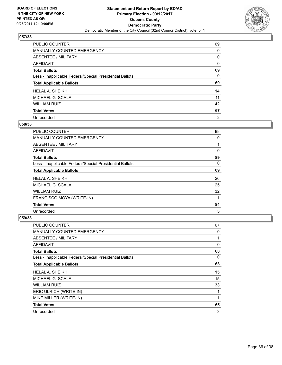

| PUBLIC COUNTER                                           | 69             |
|----------------------------------------------------------|----------------|
| MANUALLY COUNTED EMERGENCY                               | 0              |
| <b>ABSENTEE / MILITARY</b>                               | 0              |
| <b>AFFIDAVIT</b>                                         | 0              |
| <b>Total Ballots</b>                                     | 69             |
| Less - Inapplicable Federal/Special Presidential Ballots | 0              |
| <b>Total Applicable Ballots</b>                          | 69             |
| <b>HELAL A. SHEIKH</b>                                   | 14             |
| MICHAEL G. SCALA                                         | 11             |
| <b>WILLIAM RUIZ</b>                                      | 42             |
| <b>Total Votes</b>                                       | 67             |
| Unrecorded                                               | $\overline{2}$ |

#### **058/38**

| <b>PUBLIC COUNTER</b>                                    | 88 |
|----------------------------------------------------------|----|
| MANUALLY COUNTED EMERGENCY                               | 0  |
| ABSENTEE / MILITARY                                      |    |
| <b>AFFIDAVIT</b>                                         | 0  |
| <b>Total Ballots</b>                                     | 89 |
| Less - Inapplicable Federal/Special Presidential Ballots | 0  |
| <b>Total Applicable Ballots</b>                          | 89 |
| HELAL A. SHEIKH                                          | 26 |
| MICHAEL G. SCALA                                         | 25 |
| <b>WILLIAM RUIZ</b>                                      | 32 |
| FRANCISCO MOYA (WRITE-IN)                                | 1  |
| <b>Total Votes</b>                                       | 84 |
| Unrecorded                                               | 5  |

| <b>PUBLIC COUNTER</b>                                    | 67 |
|----------------------------------------------------------|----|
| <b>MANUALLY COUNTED EMERGENCY</b>                        | 0  |
| ABSENTEE / MILITARY                                      | 1  |
| AFFIDAVIT                                                | 0  |
| <b>Total Ballots</b>                                     | 68 |
| Less - Inapplicable Federal/Special Presidential Ballots | 0  |
| <b>Total Applicable Ballots</b>                          | 68 |
| <b>HELAL A. SHEIKH</b>                                   | 15 |
| MICHAEL G. SCALA                                         | 15 |
| <b>WILLIAM RUIZ</b>                                      | 33 |
| ERIC ULRICH (WRITE-IN)                                   | 1  |
| MIKE MILLER (WRITE-IN)                                   | 1  |
| <b>Total Votes</b>                                       | 65 |
| Unrecorded                                               | 3  |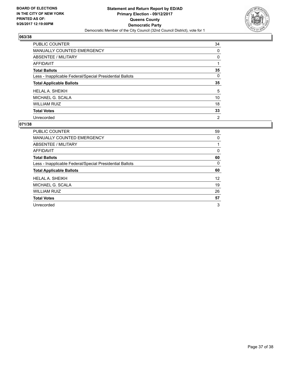

| <b>PUBLIC COUNTER</b>                                    | 34             |
|----------------------------------------------------------|----------------|
| <b>MANUALLY COUNTED EMERGENCY</b>                        | 0              |
| ABSENTEE / MILITARY                                      | 0              |
| AFFIDAVIT                                                |                |
| <b>Total Ballots</b>                                     | 35             |
| Less - Inapplicable Federal/Special Presidential Ballots | 0              |
| <b>Total Applicable Ballots</b>                          | 35             |
| <b>HELAL A. SHEIKH</b>                                   | 5              |
| MICHAEL G. SCALA                                         | 10             |
| <b>WILLIAM RUIZ</b>                                      | 18             |
| <b>Total Votes</b>                                       | 33             |
| Unrecorded                                               | $\overline{2}$ |

| <b>PUBLIC COUNTER</b>                                    | 59 |
|----------------------------------------------------------|----|
| <b>MANUALLY COUNTED EMERGENCY</b>                        | 0  |
| ABSENTEE / MILITARY                                      | 1  |
| AFFIDAVIT                                                | 0  |
| <b>Total Ballots</b>                                     | 60 |
| Less - Inapplicable Federal/Special Presidential Ballots | 0  |
| <b>Total Applicable Ballots</b>                          | 60 |
| HELAL A. SHEIKH                                          | 12 |
| MICHAEL G. SCALA                                         | 19 |
| <b>WILLIAM RUIZ</b>                                      | 26 |
| <b>Total Votes</b>                                       | 57 |
| Unrecorded                                               | 3  |